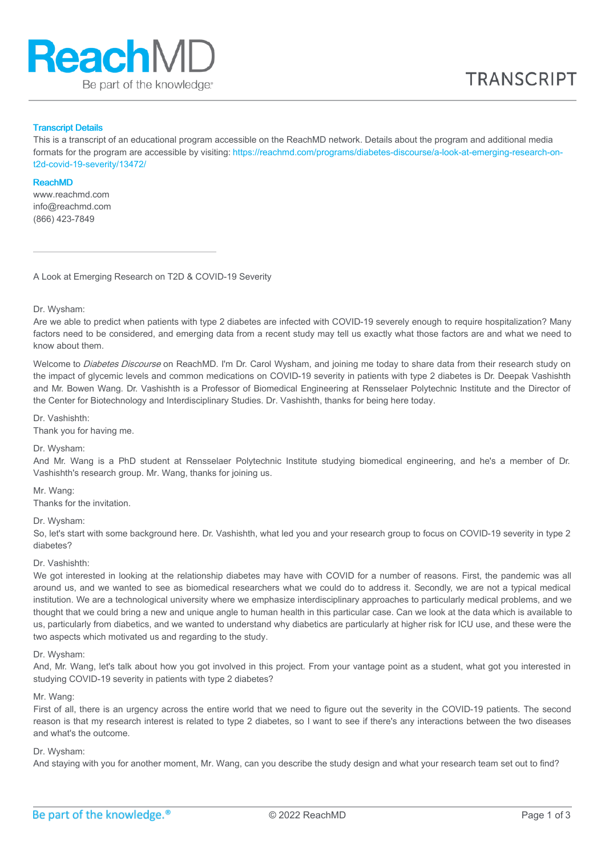

### Transcript Details

This is a transcript of an educational program accessible on the ReachMD network. Details about the program and additional media formats for the program are accessible by visiting: [https://reachmd.com/programs/diabetes-discourse/a-look-at-emerging-research-on](https://reachmd.com/programs/diabetes-discourse/a-look-at-emerging-research-on-t2d-covid-19-severity/13472/)t2d-covid-19-severity/13472/

#### ReachMD

www.reachmd.com info@reachmd.com (866) 423-7849

A Look at Emerging Research on T2D & COVID-19 Severity

Dr. Wysham:

Are we able to predict when patients with type 2 diabetes are infected with COVID-19 severely enough to require hospitalization? Many factors need to be considered, and emerging data from a recent study may tell us exactly what those factors are and what we need to know about them.

Welcome to Diabetes Discourse on ReachMD. I'm Dr. Carol Wysham, and joining me today to share data from their research study on the impact of glycemic levels and common medications on COVID-19 severity in patients with type 2 diabetes is Dr. Deepak Vashishth and Mr. Bowen Wang. Dr. Vashishth is a Professor of Biomedical Engineering at Rensselaer Polytechnic Institute and the Director of the Center for Biotechnology and Interdisciplinary Studies. Dr. Vashishth, thanks for being here today.

Dr. Vashishth:

Thank you for having me.

#### Dr. Wysham:

And Mr. Wang is a PhD student at Rensselaer Polytechnic Institute studying biomedical engineering, and he's a member of Dr. Vashishth's research group. Mr. Wang, thanks for joining us.

Mr. Wang:

Thanks for the invitation.

Dr. Wysham:

So, let's start with some background here. Dr. Vashishth, what led you and your research group to focus on COVID-19 severity in type 2 diabetes?

# Dr. Vashishth:

We got interested in looking at the relationship diabetes may have with COVID for a number of reasons. First, the pandemic was all around us, and we wanted to see as biomedical researchers what we could do to address it. Secondly, we are not a typical medical institution. We are a technological university where we emphasize interdisciplinary approaches to particularly medical problems, and we thought that we could bring a new and unique angle to human health in this particular case. Can we look at the data which is available to us, particularly from diabetics, and we wanted to understand why diabetics are particularly at higher risk for ICU use, and these were the two aspects which motivated us and regarding to the study.

#### Dr. Wysham:

And, Mr. Wang, let's talk about how you got involved in this project. From your vantage point as a student, what got you interested in studying COVID-19 severity in patients with type 2 diabetes?

## Mr. Wang:

First of all, there is an urgency across the entire world that we need to figure out the severity in the COVID-19 patients. The second reason is that my research interest is related to type 2 diabetes, so I want to see if there's any interactions between the two diseases and what's the outcome.

## Dr. Wysham:

And staying with you for another moment, Mr. Wang, can you describe the study design and what your research team set out to find?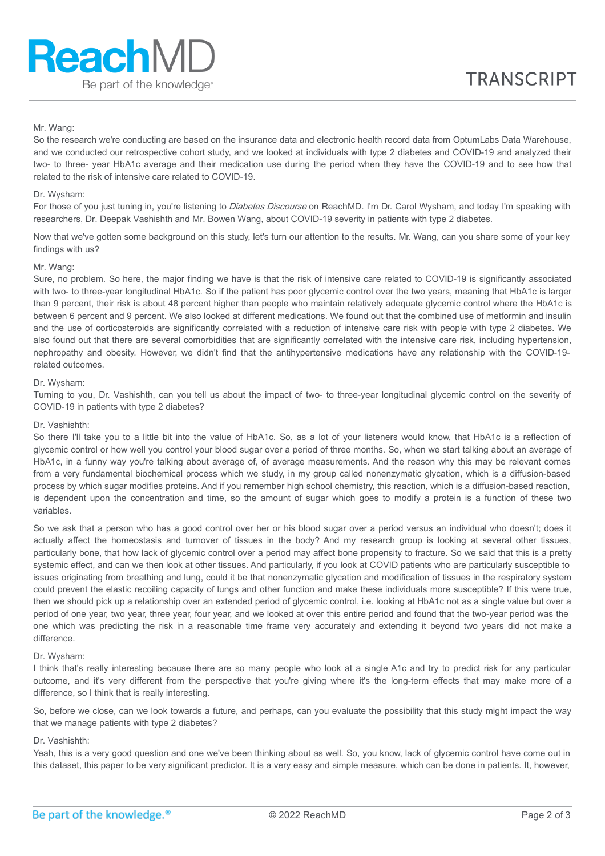# Mr. Wang:

So the research we're conducting are based on the insurance data and electronic health record data from OptumLabs Data Warehouse, and we conducted our retrospective cohort study, and we looked at individuals with type 2 diabetes and COVID-19 and analyzed their two- to three- year HbA1c average and their medication use during the period when they have the COVID-19 and to see how that related to the risk of intensive care related to COVID-19.

# Dr. Wysham:

For those of you just tuning in, you're listening to Diabetes Discourse on ReachMD. I'm Dr. Carol Wysham, and today I'm speaking with researchers, Dr. Deepak Vashishth and Mr. Bowen Wang, about COVID-19 severity in patients with type 2 diabetes.

Now that we've gotten some background on this study, let's turn our attention to the results. Mr. Wang, can you share some of your key findings with us?

#### Mr. Wang:

Sure, no problem. So here, the major finding we have is that the risk of intensive care related to COVID-19 is significantly associated with two- to three-year longitudinal HbA1c. So if the patient has poor glycemic control over the two years, meaning that HbA1c is larger than 9 percent, their risk is about 48 percent higher than people who maintain relatively adequate glycemic control where the HbA1c is between 6 percent and 9 percent. We also looked at different medications. We found out that the combined use of metformin and insulin and the use of corticosteroids are significantly correlated with a reduction of intensive care risk with people with type 2 diabetes. We also found out that there are several comorbidities that are significantly correlated with the intensive care risk, including hypertension, nephropathy and obesity. However, we didn't find that the antihypertensive medications have any relationship with the COVID-19 related outcomes.

#### Dr. Wysham:

Turning to you, Dr. Vashishth, can you tell us about the impact of two- to three-year longitudinal glycemic control on the severity of COVID-19 in patients with type 2 diabetes?

## Dr. Vashishth:

So there I'll take you to a little bit into the value of HbA1c. So, as a lot of your listeners would know, that HbA1c is a reflection of glycemic control or how well you control your blood sugar over a period of three months. So, when we start talking about an average of HbA1c, in a funny way you're talking about average of, of average measurements. And the reason why this may be relevant comes from a very fundamental biochemical process which we study, in my group called nonenzymatic glycation, which is a diffusion-based process by which sugar modifies proteins. And if you remember high school chemistry, this reaction, which is a diffusion-based reaction, is dependent upon the concentration and time, so the amount of sugar which goes to modify a protein is a function of these two variables.

So we ask that a person who has a good control over her or his blood sugar over a period versus an individual who doesn't; does it actually affect the homeostasis and turnover of tissues in the body? And my research group is looking at several other tissues, particularly bone, that how lack of glycemic control over a period may affect bone propensity to fracture. So we said that this is a pretty systemic effect, and can we then look at other tissues. And particularly, if you look at COVID patients who are particularly susceptible to issues originating from breathing and lung, could it be that nonenzymatic glycation and modification of tissues in the respiratory system could prevent the elastic recoiling capacity of lungs and other function and make these individuals more susceptible? If this were true, then we should pick up a relationship over an extended period of glycemic control, i.e. looking at HbA1c not as a single value but over a period of one year, two year, three year, four year, and we looked at over this entire period and found that the two-year period was the one which was predicting the risk in a reasonable time frame very accurately and extending it beyond two years did not make a difference.

# Dr. Wysham:

I think that's really interesting because there are so many people who look at a single A1c and try to predict risk for any particular outcome, and it's very different from the perspective that you're giving where it's the long-term effects that may make more of a difference, so I think that is really interesting.

So, before we close, can we look towards a future, and perhaps, can you evaluate the possibility that this study might impact the way that we manage patients with type 2 diabetes?

## Dr. Vashishth:

Yeah, this is a very good question and one we've been thinking about as well. So, you know, lack of glycemic control have come out in this dataset, this paper to be very significant predictor. It is a very easy and simple measure, which can be done in patients. It, however,